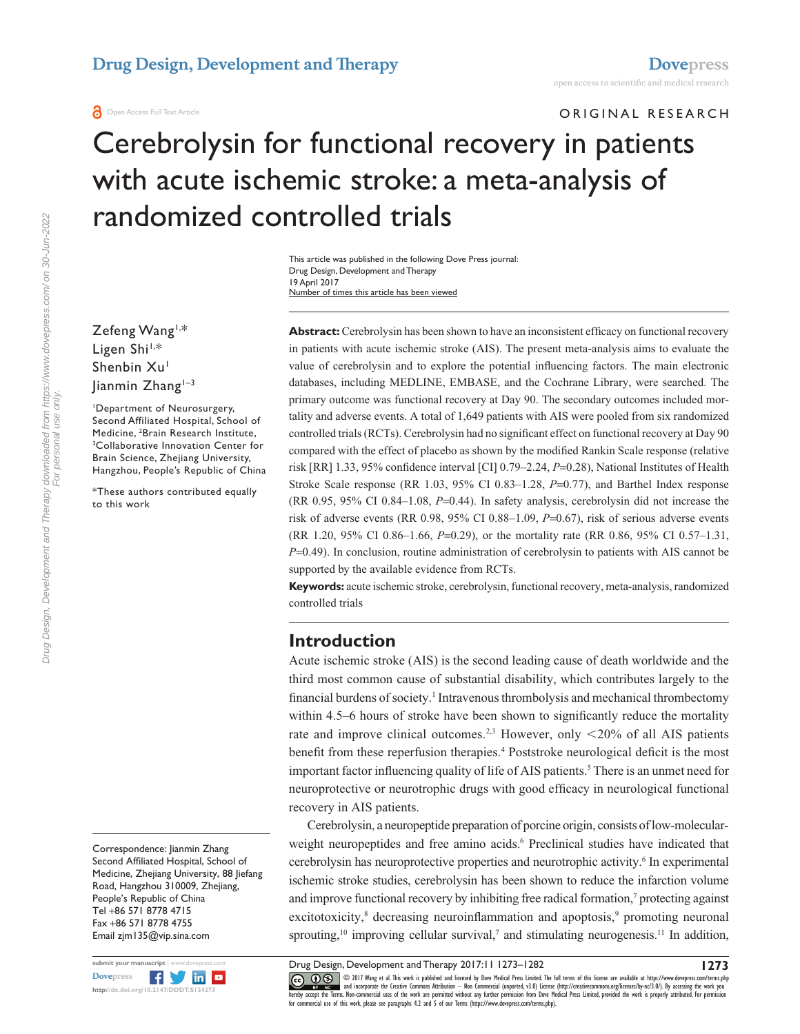ORIGINAL RESEARCH

# Cerebrolysin for functional recovery in patients with acute ischemic stroke: a meta-analysis of randomized controlled trials

Number of times this article has been viewed This article was published in the following Dove Press journal: Drug Design, Development and Therapy 19 April 2017

Zefeng Wang1,\* Ligen Shi<sup>1,\*</sup> Shenbin Xu<sup>1</sup> Jianmin Zhang<sup>1-3</sup>

1 Department of Neurosurgery, Second Affiliated Hospital, School of Medicine, <sup>2</sup>Brain Research Institute,<br><sup>3</sup>Collaborative Innovation Center fo <sup>3</sup>Collaborative Innovation Center for Brain Science, Zhejiang University, Hangzhou, People's Republic of China

\*These authors contributed equally to this work

**Abstract:** Cerebrolysin has been shown to have an inconsistent efficacy on functional recovery in patients with acute ischemic stroke (AIS). The present meta-analysis aims to evaluate the value of cerebrolysin and to explore the potential influencing factors. The main electronic databases, including MEDLINE, EMBASE, and the Cochrane Library, were searched. The primary outcome was functional recovery at Day 90. The secondary outcomes included mortality and adverse events. A total of 1,649 patients with AIS were pooled from six randomized controlled trials (RCTs). Cerebrolysin had no significant effect on functional recovery at Day 90 compared with the effect of placebo as shown by the modified Rankin Scale response (relative risk [RR] 1.33, 95% confidence interval [CI] 0.79–2.24, *P*=0.28), National Institutes of Health Stroke Scale response (RR 1.03, 95% CI 0.83–1.28, *P*=0.77), and Barthel Index response (RR 0.95, 95% CI 0.84–1.08, *P*=0.44). In safety analysis, cerebrolysin did not increase the risk of adverse events (RR 0.98, 95% CI 0.88–1.09, *P*=0.67), risk of serious adverse events (RR 1.20, 95% CI 0.86–1.66, *P*=0.29), or the mortality rate (RR 0.86, 95% CI 0.57–1.31, *P*=0.49). In conclusion, routine administration of cerebrolysin to patients with AIS cannot be supported by the available evidence from RCTs.

**Keywords:** acute ischemic stroke, cerebrolysin, functional recovery, meta-analysis, randomized controlled trials

### **Introduction**

Acute ischemic stroke (AIS) is the second leading cause of death worldwide and the third most common cause of substantial disability, which contributes largely to the financial burdens of society.<sup>1</sup> Intravenous thrombolysis and mechanical thrombectomy within 4.5–6 hours of stroke have been shown to significantly reduce the mortality rate and improve clinical outcomes.<sup>2,3</sup> However, only  $\langle 20\%$  of all AIS patients benefit from these reperfusion therapies.<sup>4</sup> Poststroke neurological deficit is the most important factor influencing quality of life of AIS patients.<sup>5</sup> There is an unmet need for neuroprotective or neurotrophic drugs with good efficacy in neurological functional recovery in AIS patients.

Cerebrolysin, a neuropeptide preparation of porcine origin, consists of low-molecularweight neuropeptides and free amino acids.<sup>6</sup> Preclinical studies have indicated that cerebrolysin has neuroprotective properties and neurotrophic activity.<sup>6</sup> In experimental ischemic stroke studies, cerebrolysin has been shown to reduce the infarction volume and improve functional recovery by inhibiting free radical formation,<sup>7</sup> protecting against excitotoxicity,<sup>8</sup> decreasing neuroinflammation and apoptosis,<sup>9</sup> promoting neuronal sprouting,<sup>10</sup> improving cellular survival,<sup>7</sup> and stimulating neurogenesis.<sup>11</sup> In addition,

**1273**

Correspondence: Jianmin Zhang Second Affiliated Hospital, School of Medicine, Zhejiang University, 88 Jiefang Road, Hangzhou 310009, Zhejiang, People's Republic of China Tel +86 571 8778 4715 Fax +86 571 8778 4755 Email [zjm135@vip.sina.com](mailto:zjm135@vip.sina.com)



CC O S © 2017 Wang et al. This work is published and licensed by Dove Medical Press Limited. The full terms of this license are available at <https://www.dovepress.com/terms.php><br>[hereby accept the Terms](http://www.dovepress.com/permissions.php). Non-commercial uses Drug Design, Development and Therapy 2017:11 1273–1282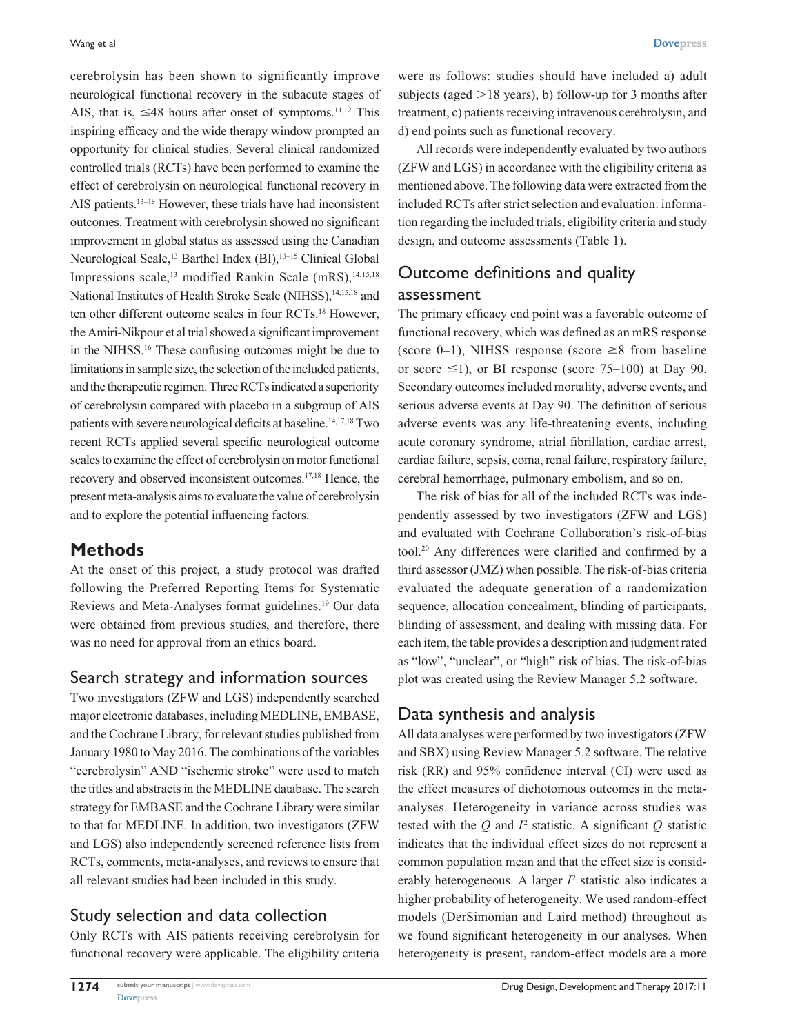cerebrolysin has been shown to significantly improve neurological functional recovery in the subacute stages of AIS, that is,  $\leq 48$  hours after onset of symptoms.<sup>11,12</sup> This inspiring efficacy and the wide therapy window prompted an opportunity for clinical studies. Several clinical randomized controlled trials (RCTs) have been performed to examine the effect of cerebrolysin on neurological functional recovery in AIS patients.13–18 However, these trials have had inconsistent outcomes. Treatment with cerebrolysin showed no significant improvement in global status as assessed using the Canadian Neurological Scale,<sup>13</sup> Barthel Index (BI),<sup>13-15</sup> Clinical Global Impressions scale,<sup>13</sup> modified Rankin Scale (mRS),<sup>14,15,18</sup> National Institutes of Health Stroke Scale (NIHSS),<sup>14,15,18</sup> and ten other different outcome scales in four RCTs.18 However, the Amiri-Nikpour et al trial showed a significant improvement in the NIHSS.16 These confusing outcomes might be due to limitations in sample size, the selection of the included patients, and the therapeutic regimen. Three RCTs indicated a superiority of cerebrolysin compared with placebo in a subgroup of AIS patients with severe neurological deficits at baseline.<sup>14,17,18</sup> Two recent RCTs applied several specific neurological outcome scales to examine the effect of cerebrolysin on motor functional recovery and observed inconsistent outcomes.17,18 Hence, the present meta-analysis aims to evaluate the value of cerebrolysin and to explore the potential influencing factors.

# **Methods**

At the onset of this project, a study protocol was drafted following the Preferred Reporting Items for Systematic Reviews and Meta-Analyses format guidelines.19 Our data were obtained from previous studies, and therefore, there was no need for approval from an ethics board.

# Search strategy and information sources

Two investigators (ZFW and LGS) independently searched major electronic databases, including MEDLINE, EMBASE, and the Cochrane Library, for relevant studies published from January 1980 to May 2016. The combinations of the variables "cerebrolysin" AND "ischemic stroke" were used to match the titles and abstracts in the MEDLINE database. The search strategy for EMBASE and the Cochrane Library were similar to that for MEDLINE. In addition, two investigators (ZFW and LGS) also independently screened reference lists from RCTs, comments, meta-analyses, and reviews to ensure that all relevant studies had been included in this study.

# Study selection and data collection

Only RCTs with AIS patients receiving cerebrolysin for functional recovery were applicable. The eligibility criteria

were as follows: studies should have included a) adult subjects (aged  $>18$  years), b) follow-up for 3 months after treatment, c) patients receiving intravenous cerebrolysin, and d) end points such as functional recovery.

All records were independently evaluated by two authors (ZFW and LGS) in accordance with the eligibility criteria as mentioned above. The following data were extracted from the included RCTs after strict selection and evaluation: information regarding the included trials, eligibility criteria and study design, and outcome assessments (Table 1).

# Outcome definitions and quality assessment

The primary efficacy end point was a favorable outcome of functional recovery, which was defined as an mRS response (score 0–1), NIHSS response (score  $\geq 8$  from baseline or score  $\leq$ 1), or BI response (score 75–100) at Day 90. Secondary outcomes included mortality, adverse events, and serious adverse events at Day 90. The definition of serious adverse events was any life-threatening events, including acute coronary syndrome, atrial fibrillation, cardiac arrest, cardiac failure, sepsis, coma, renal failure, respiratory failure, cerebral hemorrhage, pulmonary embolism, and so on.

The risk of bias for all of the included RCTs was independently assessed by two investigators (ZFW and LGS) and evaluated with Cochrane Collaboration's risk-of-bias tool.20 Any differences were clarified and confirmed by a third assessor (JMZ) when possible. The risk-of-bias criteria evaluated the adequate generation of a randomization sequence, allocation concealment, blinding of participants, blinding of assessment, and dealing with missing data. For each item, the table provides a description and judgment rated as "low", "unclear", or "high" risk of bias. The risk-of-bias plot was created using the Review Manager 5.2 software.

# Data synthesis and analysis

All data analyses were performed by two investigators (ZFW and SBX) using Review Manager 5.2 software. The relative risk (RR) and 95% confidence interval (CI) were used as the effect measures of dichotomous outcomes in the metaanalyses. Heterogeneity in variance across studies was tested with the  $Q$  and  $I^2$  statistic. A significant  $Q$  statistic indicates that the individual effect sizes do not represent a common population mean and that the effect size is considerably heterogeneous. A larger  $I<sup>2</sup>$  statistic also indicates a higher probability of heterogeneity. We used random-effect models (DerSimonian and Laird method) throughout as we found significant heterogeneity in our analyses. When heterogeneity is present, random-effect models are a more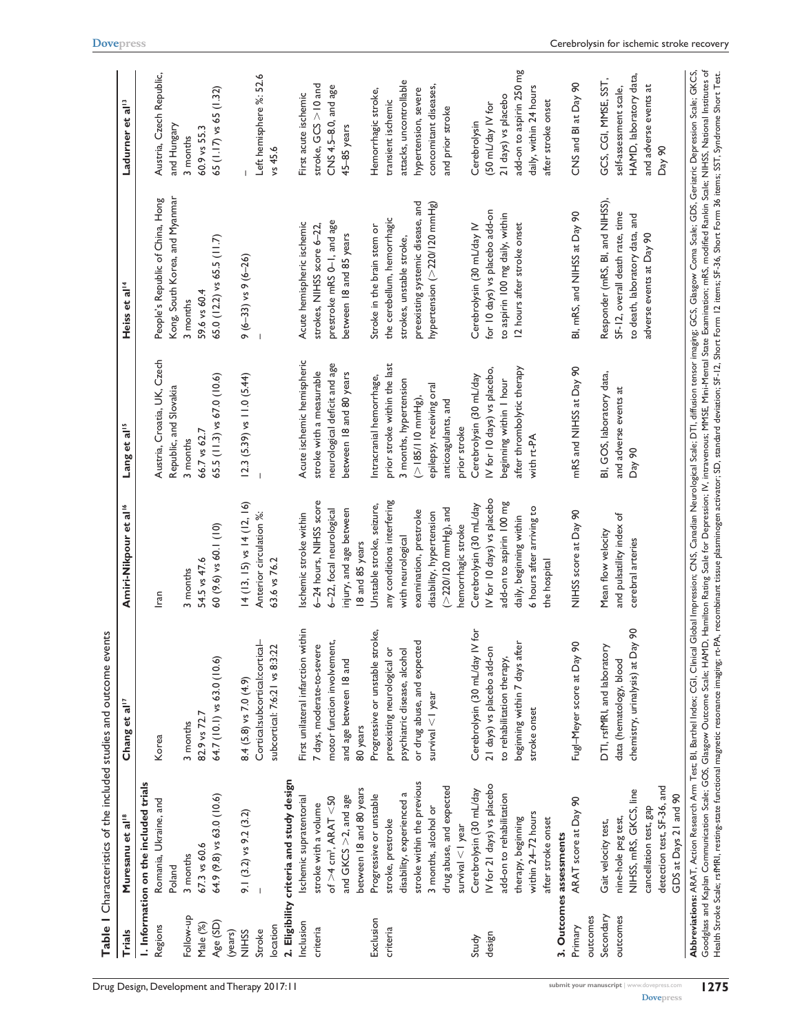|               |                                          | Table I Characteristics of the included studies and outcome events |                                   |                                |                                                                                                                                                                                                                                                                                                                                                                                                                                                                                                                                                                                                                                                                                                   |                              |
|---------------|------------------------------------------|--------------------------------------------------------------------|-----------------------------------|--------------------------------|---------------------------------------------------------------------------------------------------------------------------------------------------------------------------------------------------------------------------------------------------------------------------------------------------------------------------------------------------------------------------------------------------------------------------------------------------------------------------------------------------------------------------------------------------------------------------------------------------------------------------------------------------------------------------------------------------|------------------------------|
| <b>Trials</b> | Muresanu et al <sup>18</sup>             | Chang et al <sup>17</sup>                                          | Amiri-Nikpour et al <sup>16</sup> | Lang et al <sup>15</sup>       | Heiss et al <sup>14</sup>                                                                                                                                                                                                                                                                                                                                                                                                                                                                                                                                                                                                                                                                         | Ladurner et al <sup>13</sup> |
|               | I. Information on the included trials    |                                                                    |                                   |                                |                                                                                                                                                                                                                                                                                                                                                                                                                                                                                                                                                                                                                                                                                                   |                              |
| Regions       | Romania, Ukraine, and                    | Korea                                                              | Iran                              | Austria, Croatia, UK, Czech    | People's Republic of China, Hong                                                                                                                                                                                                                                                                                                                                                                                                                                                                                                                                                                                                                                                                  | Austria, Czech Republic,     |
|               | Poland                                   |                                                                    |                                   | Republic, and Slovakia         | Kong, South Korea, and Myanmar                                                                                                                                                                                                                                                                                                                                                                                                                                                                                                                                                                                                                                                                    | and Hungary                  |
| Follow-up     | 3 months                                 | 3 months                                                           | 3 months                          | 3 months                       | 3 months                                                                                                                                                                                                                                                                                                                                                                                                                                                                                                                                                                                                                                                                                          | 3 months                     |
| Male (%)      | 67.3 vs 60.6                             | 82.9 vs 72.7                                                       | 54.5 vs 47.6                      | 66.7 vs 62.7                   | 59.6 vs 60.4                                                                                                                                                                                                                                                                                                                                                                                                                                                                                                                                                                                                                                                                                      | 60.9 vs 55.3                 |
| Age (SD)      | 64.9 (9.8) vs 63.0 (10.6)                | 64.7 (10.1) vs 63.0 (10.6)                                         | $60(9.6)$ vs $60.1(10)$           | 65.5 (11.3) vs 67.0 (10.6)     | 65.0 (12.2) vs 65.5 (11.7)                                                                                                                                                                                                                                                                                                                                                                                                                                                                                                                                                                                                                                                                        | 65 (1.17) vs 65 (1.32)       |
| (years)       |                                          |                                                                    |                                   |                                |                                                                                                                                                                                                                                                                                                                                                                                                                                                                                                                                                                                                                                                                                                   |                              |
| <b>NIHSS</b>  | 9.1 $(3.2)$ vs 9.2 $(3.2)$               | $8.4$ (5.8) vs 7.0 (4.9)                                           | $14(13, 15)$ vs $14(12, 16)$      | $12.3$ (5.39) vs $11.0$ (5.44) | $9(6-33)$ vs $9(6-26)$                                                                                                                                                                                                                                                                                                                                                                                                                                                                                                                                                                                                                                                                            |                              |
| Stroke        |                                          | Cortical:subcortical:cortical-                                     | Anterior circulation %:           |                                |                                                                                                                                                                                                                                                                                                                                                                                                                                                                                                                                                                                                                                                                                                   | Left hemisphere %: 52.6      |
| location      |                                          | subcortical: 7:6:21 vs 8:3:22                                      | 63.6 vs 76.2                      |                                |                                                                                                                                                                                                                                                                                                                                                                                                                                                                                                                                                                                                                                                                                                   | vs 45.6                      |
|               | 2. Eligibility criteria and study design |                                                                    |                                   |                                |                                                                                                                                                                                                                                                                                                                                                                                                                                                                                                                                                                                                                                                                                                   |                              |
| Inclusion     | Ischemic supratentorial                  | First unilateral infarction within                                 | Ischemic stroke within            | Acute ischemic hemispheric     | Acute hemispheric ischemic                                                                                                                                                                                                                                                                                                                                                                                                                                                                                                                                                                                                                                                                        | First acute ischemic         |
| criteria      | stroke with a volume                     | 7 days, moderate-to-severe                                         | 6-24 hours, NIHSS score           | stroke with a measurable       | strokes, NIHSS score 6-22,                                                                                                                                                                                                                                                                                                                                                                                                                                                                                                                                                                                                                                                                        | stroke, $GCS > 10$ and       |
|               | of $>4$ cm <sup>3</sup> , ARAT <50       | motor function involvement,                                        | 6-22, focal neurological          | neurological deficit and age   | prestroke mRS 0-1, and age                                                                                                                                                                                                                                                                                                                                                                                                                                                                                                                                                                                                                                                                        | CNS 4.5-8.0, and age         |
|               | and GKCS $>2$ , and age                  | and age between 18 and                                             | injury, and age between           | between 18 and 80 years        | between 18 and 85 years                                                                                                                                                                                                                                                                                                                                                                                                                                                                                                                                                                                                                                                                           | 45-85 years                  |
|               | between 18 and 80 years                  | 80 years                                                           | 8 and 85 years                    |                                |                                                                                                                                                                                                                                                                                                                                                                                                                                                                                                                                                                                                                                                                                                   |                              |
| Exclusion     | Progressive or unstable                  | Progressive or unstable stroke,                                    | Unstable stroke, seizure,         | Intracranial hemorrhage,       | Stroke in the brain stem or                                                                                                                                                                                                                                                                                                                                                                                                                                                                                                                                                                                                                                                                       | Hemorrhagic stroke,          |
| criteria      | stroke, prestroke                        | preexisting neurological or                                        | any conditions interfering        | prior stroke within the last   | the cerebellum, hemorrhagic                                                                                                                                                                                                                                                                                                                                                                                                                                                                                                                                                                                                                                                                       | transient ischemic           |
|               | disability, experienced a                | psychiatric disease, alcohol                                       | with neurological                 | 3 months, hypertension         | strokes, unstable stroke,                                                                                                                                                                                                                                                                                                                                                                                                                                                                                                                                                                                                                                                                         | attacks, uncontrollable      |
|               | stroke within the previous               | or drug abuse, and expected                                        | examination, prestroke            | $(>185/110$ mmHg),             | preexisting systemic disease, and                                                                                                                                                                                                                                                                                                                                                                                                                                                                                                                                                                                                                                                                 | hypertension, severe         |
|               | 3 months, alcohol or                     | survival $<$ l year                                                | disability, hypertension          | epilepsy, receiving oral       | hypertension ( $>$ 220/120 mmHg)                                                                                                                                                                                                                                                                                                                                                                                                                                                                                                                                                                                                                                                                  | concomitant diseases,        |
|               | drug abuse, and expected                 |                                                                    | $(>220/120$ mmHg), and            | anticoagulants, and            |                                                                                                                                                                                                                                                                                                                                                                                                                                                                                                                                                                                                                                                                                                   | and prior stroke             |
|               | survival $<$ I year                      |                                                                    | hemorrhagic stroke                | prior stroke                   |                                                                                                                                                                                                                                                                                                                                                                                                                                                                                                                                                                                                                                                                                                   |                              |
| Study         | Cerebrolysin (30 mL/day                  | Cerebrolysin (30 mL/day IV for                                     | Cerebrolysin (30 mL/day           | Cerebrolysin (30 mL/day        | Cerebrolysin (30 mL/day IV                                                                                                                                                                                                                                                                                                                                                                                                                                                                                                                                                                                                                                                                        | Cerebrolysin                 |
| design        | IV for 21 days) vs placebo               | 21 days) vs placebo add-on                                         | IV for 10 days) vs placebo        | IV for 10 days) vs placebo,    | for 10 days) vs placebo add-on                                                                                                                                                                                                                                                                                                                                                                                                                                                                                                                                                                                                                                                                    | (50 mL/day IV for            |
|               | add-on to rehabilitation                 | to rehabilitation therapy,                                         | add-on to aspirin 100 mg          | beginning within I hour        | to aspirin 100 mg daily, within                                                                                                                                                                                                                                                                                                                                                                                                                                                                                                                                                                                                                                                                   | 21 days) vs placebo          |
|               | therapy, beginning                       | beginning within 7 days after                                      | daily, beginning within           | after thrombolytic therapy     | 12 hours after stroke onset                                                                                                                                                                                                                                                                                                                                                                                                                                                                                                                                                                                                                                                                       | add-on to aspirin 250 mg     |
|               | within 24–72 hours                       | stroke onset                                                       | 6 hours after arriving to         | with rt-PA                     |                                                                                                                                                                                                                                                                                                                                                                                                                                                                                                                                                                                                                                                                                                   | daily, within 24 hours       |
|               | after stroke onset                       |                                                                    | the hospital                      |                                |                                                                                                                                                                                                                                                                                                                                                                                                                                                                                                                                                                                                                                                                                                   | after stroke onset           |
|               | 3. Outcomes assessments                  |                                                                    |                                   |                                |                                                                                                                                                                                                                                                                                                                                                                                                                                                                                                                                                                                                                                                                                                   |                              |
| Primary       | ARAT score at Day 90                     | Fugl-Meyer score at Day 90                                         | NIHSS score at Day 90             | mRS and NIHSS at Day 90        | BI, mRS, and NIHSS at Day 90                                                                                                                                                                                                                                                                                                                                                                                                                                                                                                                                                                                                                                                                      | CNS and BI at Day 90         |
| outcomes      |                                          |                                                                    |                                   |                                |                                                                                                                                                                                                                                                                                                                                                                                                                                                                                                                                                                                                                                                                                                   |                              |
| Secondary     | Gait velocity test,                      | DTI, rsfMRI, and laboratory                                        | Mean flow velocity                | BI, GOS, laboratory data,      | Responder (mRS, BI, and NIHSS),                                                                                                                                                                                                                                                                                                                                                                                                                                                                                                                                                                                                                                                                   | GCS, CGI, MMSE, SST,         |
| outcomes      | nine-hole peg test,                      | data (hematology, blood                                            | and pulsatility index of          | and adverse events at          | SF-12, overall death rate, time                                                                                                                                                                                                                                                                                                                                                                                                                                                                                                                                                                                                                                                                   | self-assessment scale,       |
|               | NIHSS, mRS, GKCS, line                   | chemistry, urinalysis) at Day 90                                   | cerebral arteries                 | Day 90                         | to death, laboratory data, and                                                                                                                                                                                                                                                                                                                                                                                                                                                                                                                                                                                                                                                                    | HAMD, laboratory data,       |
|               | cancellation test, gap                   |                                                                    |                                   |                                | adverse events at Day 90                                                                                                                                                                                                                                                                                                                                                                                                                                                                                                                                                                                                                                                                          | and adverse events at        |
|               | detection test, SF-36, and               |                                                                    |                                   |                                |                                                                                                                                                                                                                                                                                                                                                                                                                                                                                                                                                                                                                                                                                                   | $Day$ 90                     |
|               | GDS at Days 21 and 90                    |                                                                    |                                   |                                |                                                                                                                                                                                                                                                                                                                                                                                                                                                                                                                                                                                                                                                                                                   |                              |
|               |                                          |                                                                    |                                   |                                | Goodglass and Kaplan Communication Scale; GOS, Glasgow Outcome Scale; HAMD, Hamilton Rating Scale for Depression; IV, intravenous; MMSE, Mini-Mental State Examination; mRS, modified Rankin Scale; NIHSS, National Institutes<br>Abbreviations: ARAT, Action Research Arm Test; Bl. Barthel Index; CGI, Clinical Global Impression; CNS, Canadian Neurological Scale; DTI, diffusion tensor imaging; GCS, Glasgow Coma Scale; GDS, Geriatric Depression Scale;<br>Health Stroke Scale; rsfMRI, resting-state functional magnetic resonance imaging; rt-PA, recombinant tissue plasminogen activator; SD, standard deviation; SF-12. Short Form 12 items; SF-36. Short Form 36 items; SST, Syndro |                              |
|               |                                          |                                                                    |                                   |                                |                                                                                                                                                                                                                                                                                                                                                                                                                                                                                                                                                                                                                                                                                                   |                              |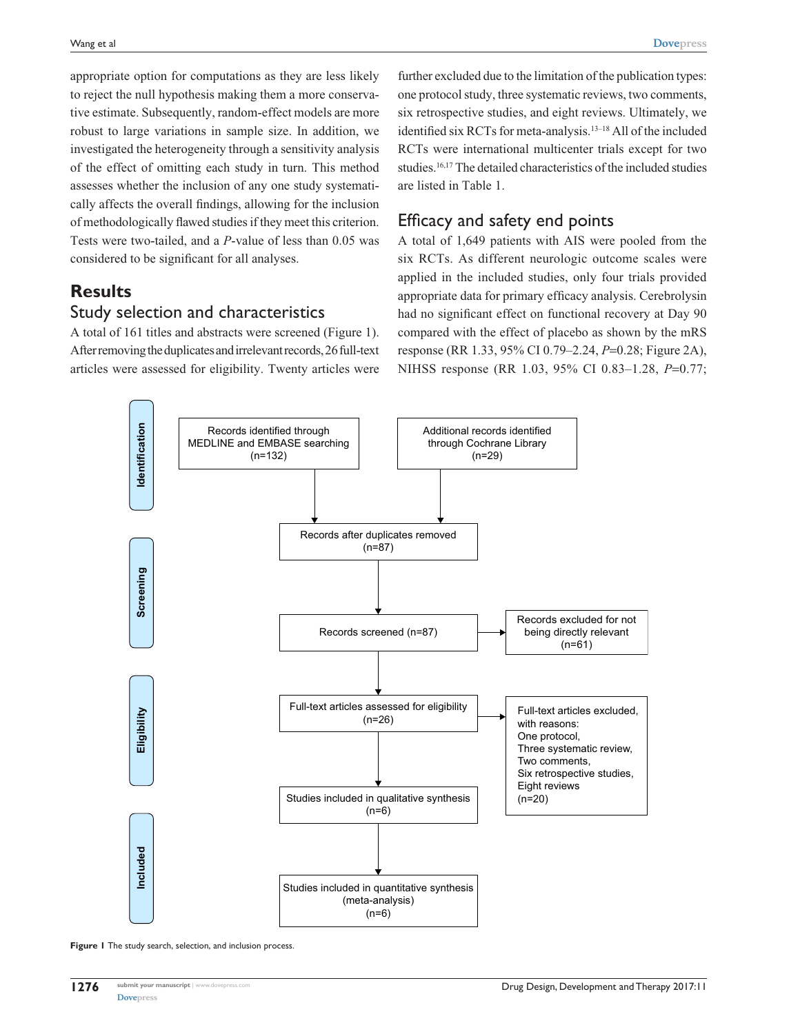appropriate option for computations as they are less likely to reject the null hypothesis making them a more conservative estimate. Subsequently, random-effect models are more robust to large variations in sample size. In addition, we investigated the heterogeneity through a sensitivity analysis of the effect of omitting each study in turn. This method assesses whether the inclusion of any one study systematically affects the overall findings, allowing for the inclusion of methodologically flawed studies if they meet this criterion. Tests were two-tailed, and a *P*-value of less than 0.05 was considered to be significant for all analyses.

# **Results**

## Study selection and characteristics

A total of 161 titles and abstracts were screened (Figure 1). After removing the duplicates and irrelevant records, 26 full-text articles were assessed for eligibility. Twenty articles were

further excluded due to the limitation of the publication types: one protocol study, three systematic reviews, two comments, six retrospective studies, and eight reviews. Ultimately, we identified six RCTs for meta-analysis.13–18 All of the included RCTs were international multicenter trials except for two studies.16,17 The detailed characteristics of the included studies are listed in Table 1.

# Efficacy and safety end points

A total of 1,649 patients with AIS were pooled from the six RCTs. As different neurologic outcome scales were applied in the included studies, only four trials provided appropriate data for primary efficacy analysis. Cerebrolysin had no significant effect on functional recovery at Day 90 compared with the effect of placebo as shown by the mRS response (RR 1.33, 95% CI 0.79–2.24, *P*=0.28; Figure 2A), NIHSS response (RR 1.03, 95% CI 0.83–1.28, *P*=0.77;



**Figure 1** The study search, selection, and inclusion process.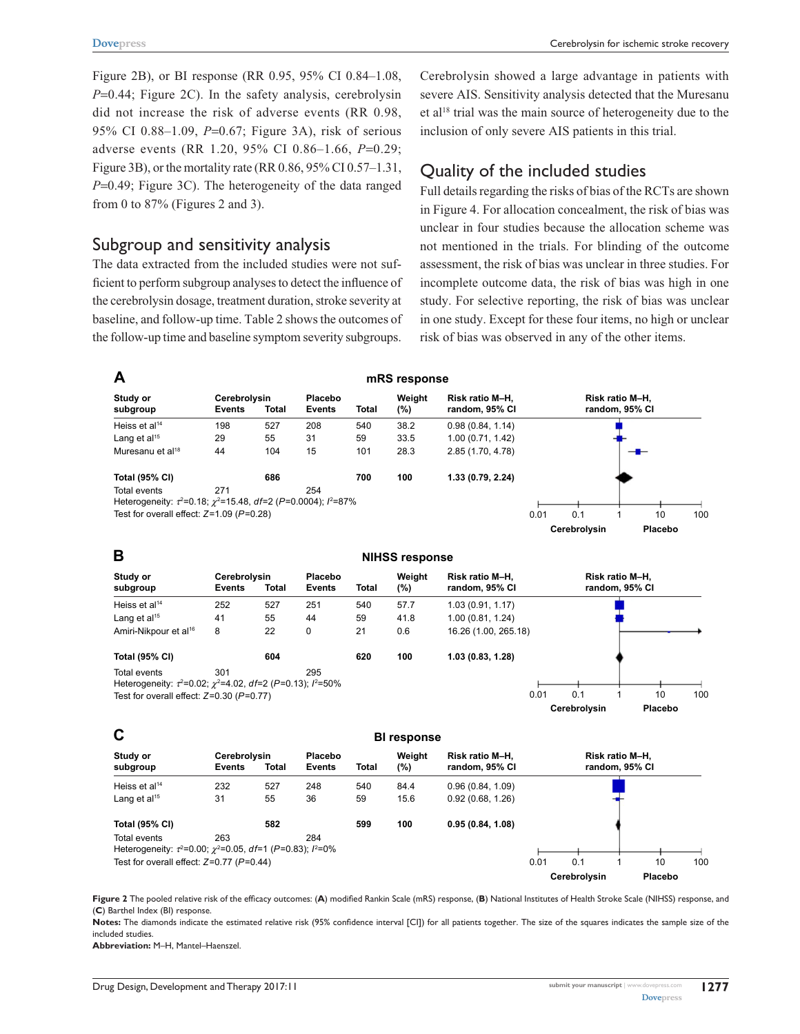Figure 2B), or BI response (RR 0.95, 95% CI 0.84–1.08, *P*=0.44; Figure 2C). In the safety analysis, cerebrolysin did not increase the risk of adverse events (RR 0.98, 95% CI 0.88–1.09, *P*=0.67; Figure 3A), risk of serious adverse events (RR 1.20, 95% CI 0.86–1.66, *P*=0.29; Figure 3B), or the mortality rate (RR 0.86, 95% CI 0.57–1.31, *P*=0.49; Figure 3C). The heterogeneity of the data ranged from 0 to 87% (Figures 2 and 3).

### Subgroup and sensitivity analysis

The data extracted from the included studies were not sufficient to perform subgroup analyses to detect the influence of the cerebrolysin dosage, treatment duration, stroke severity at baseline, and follow-up time. Table 2 shows the outcomes of the follow-up time and baseline symptom severity subgroups.

Cerebrolysin showed a large advantage in patients with severe AIS. Sensitivity analysis detected that the Muresanu et al<sup>18</sup> trial was the main source of heterogeneity due to the inclusion of only severe AIS patients in this trial.

# Quality of the included studies

Full details regarding the risks of bias of the RCTs are shown in Figure 4. For allocation concealment, the risk of bias was unclear in four studies because the allocation scheme was not mentioned in the trials. For blinding of the outcome assessment, the risk of bias was unclear in three studies. For incomplete outcome data, the risk of bias was high in one study. For selective reporting, the risk of bias was unclear in one study. Except for these four items, no high or unclear risk of bias was observed in any of the other items.

 Cerebrolysin Cerebrolysin **BI** response **Placebo** Risk ratio M-H. random, 95% CI Placebo 0.96 (0.84, 1.09) 0.92 (0.68, 1.26) 0.95 (0.84, 1.08) Risk ratio M-H. random, 95% CI *Test for overall effect: Z=0.77 (P=0.44) Heterogeneity: τ*<sup>2</sup>=0.00;  $\chi$ <sup>2</sup>=0.05, df=1 (P=0.83); l<sup>2</sup>=0%  $Total$ 527 55 582 *<u>Total</u>* 540 59 599 **Weight** (%) 84.4 15.6 100 **Study** or subgroup Heiss et al<sup>14</sup> Lang et al<sup>15</sup> *7otal* (95% CI) Events 232  $31$ Events 248 36 Total events **263** 284 **NIHSS response**   Cerebrolysin Cerebrolysin **Placebo** Risk ratio M-H. random, 95% CI Placebo 16.26 (1.00, 265.18) 1.00 (0.81, 1.24) 1.03 (0.91, 1.17)  Risk ratio M-H. random, 95% CI *Test for overall effect: Z=0.30 (P=0.77) Heterogeneity: τ*<sup>2</sup>=0.02;  $\chi$ <sup>2</sup>=4.02, df=2 (P=0.13);  $l$ <sup>2</sup>=50%  $Total$ 527 55  $\overline{2}$ 604 *<u>Total</u>* 540 59  $21$ 620 **Weight** (%) 577 41.8  $0.6$ 100 **Study** or subgroup Heiss et al<sup>14</sup> Amiri-Nikpour et al<sup>16</sup> Lang et al<sup>15</sup> *Total* (95% CI) Events 252 41  $\mathbf{a}$ Events Total events **7801** and 295 251 44  $\Omega$  $mRS$  response  Cerebrolysin Cerebrolvsin **Placebo** Risk ratio M-H. random, 95% CI 2.85 (1.70, 4.78) 1.00 (0.71, 1.42) 0.98 (0.84, 1.14)  Risk ratio M-H. random, 95% CI Placebo *Test for overall effect: Z=1.09 (P=0.28) Heterogeneity: τ*<sup>2</sup>=0.18;  $\chi$ <sup>2</sup>=15.48, df=2 (P=0.0004); l<sup>2</sup>=87%  $Total$ 527 55 104 686 *<u>Total</u>* 540 59 101 700 **Weight**  $(%)$ 38.2 33.5 28.3 100 **Study** or subgroup Muresanu et al<sup>18</sup> Heiss et al<sup>14</sup> Lang et al<sup>15</sup> *Total* (95% CI) Events 198 29 44 Events 208 31  $15$ Total events **271** 254 *\$ % &*

**Figure 2** The pooled relative risk of the efficacy outcomes: (**A**) modified Rankin Scale (mRS) response, (**B**) National Institutes of Health Stroke Scale (NIHSS) response, and (**C**) Barthel Index (BI) response.

**Notes:** The diamonds indicate the estimated relative risk (95% confidence interval [CI]) for all patients together. The size of the squares indicates the sample size of the included studies.

**Abbreviation:** M–H, Mantel–Haenszel.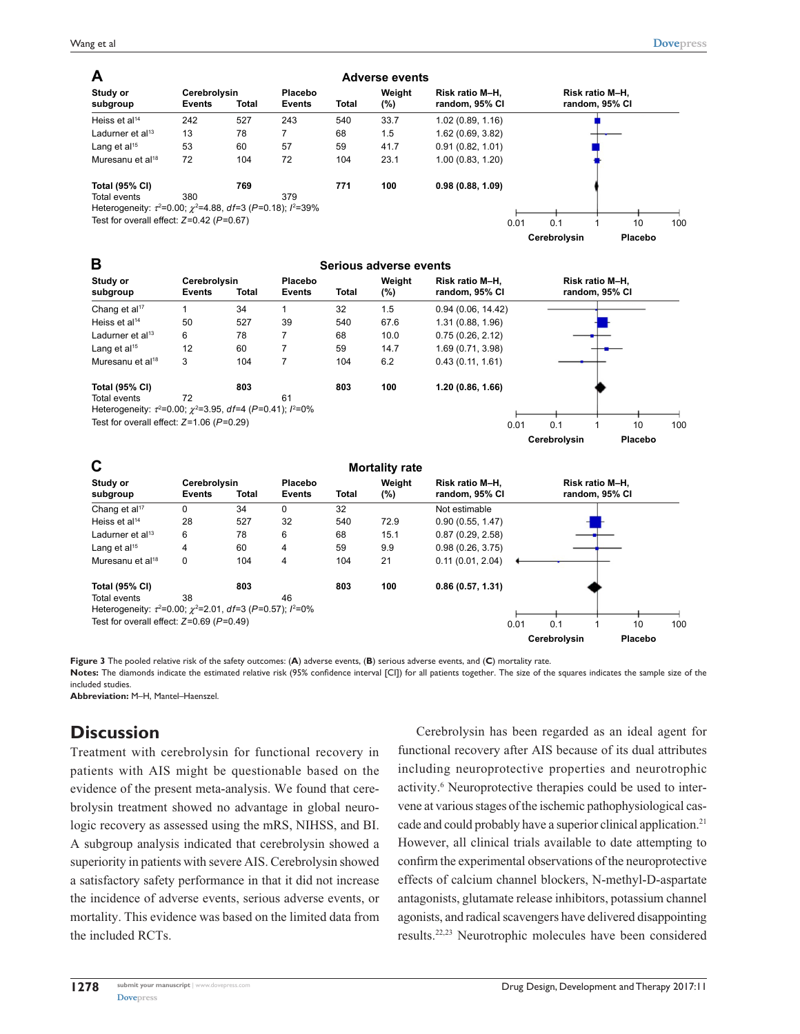| A                                                                                |                               |              |                          |              | <b>Adverse events</b> |                                   |      |              |                                   |         |     |
|----------------------------------------------------------------------------------|-------------------------------|--------------|--------------------------|--------------|-----------------------|-----------------------------------|------|--------------|-----------------------------------|---------|-----|
| Study or<br>subgroup                                                             | Cerebrolysin<br><b>Events</b> | <b>Total</b> | Placebo<br><b>Events</b> | <b>Total</b> | Weight<br>(%)         | Risk ratio M-H.<br>random, 95% CI |      |              | Risk ratio M-H.<br>random, 95% CI |         |     |
| Heiss et al <sup>14</sup>                                                        | 242                           | 527          | 243                      | 540          | 33.7                  | 1.02(0.89, 1.16)                  |      |              |                                   |         |     |
| Ladurner et al <sup>13</sup>                                                     | 13                            | 78           | 7                        | 68           | 1.5                   | 1.62(0.69, 3.82)                  |      |              |                                   |         |     |
| Lang et al <sup>15</sup>                                                         | 53                            | 60           | 57                       | 59           | 41.7                  | 0.91(0.82, 1.01)                  |      |              |                                   |         |     |
| Muresanu et al <sup>18</sup>                                                     | 72                            | 104          | 72                       | 104          | 23.1                  | 1.00(0.83, 1.20)                  |      |              |                                   |         |     |
| <b>Total (95% CI)</b>                                                            |                               | 769          |                          | 771          | 100                   | 0.98(0.88, 1.09)                  |      |              |                                   |         |     |
| Total events                                                                     | 380                           |              | 379                      |              |                       |                                   |      |              |                                   |         |     |
| Heterogeneity: $\tau^2 = 0.00$ ; $\gamma^2 = 4.88$ , df=3 (P=0.18); $l^2 = 39\%$ |                               |              |                          |              |                       |                                   |      |              |                                   |         |     |
| Test for overall effect: $Z=0.42$ ( $P=0.67$ )                                   |                               |              |                          |              |                       |                                   | 0.01 | 0.1          |                                   | 10      | 100 |
|                                                                                  |                               |              |                          |              |                       |                                   |      | Cerebrolvsin |                                   | Placebo |     |

| В                                                                                   |                               |       |                          |       | Serious adverse events |                                   |      |              |                                   |         |     |
|-------------------------------------------------------------------------------------|-------------------------------|-------|--------------------------|-------|------------------------|-----------------------------------|------|--------------|-----------------------------------|---------|-----|
| Study or<br>subgroup                                                                | Cerebrolysin<br><b>Events</b> | Total | Placebo<br><b>Events</b> | Total | Weight<br>(%)          | Risk ratio M-H.<br>random, 95% CI |      |              | Risk ratio M-H.<br>random, 95% CI |         |     |
| Chang et al <sup>17</sup>                                                           |                               | 34    |                          | 32    | 1.5                    | 0.94(0.06, 14.42)                 |      |              |                                   |         |     |
| Heiss et al <sup>14</sup>                                                           | 50                            | 527   | 39                       | 540   | 67.6                   | 1.31 (0.88, 1.96)                 |      |              |                                   |         |     |
| Ladurner et al <sup>13</sup>                                                        | 6                             | 78    | 7                        | 68    | 10.0                   | 0.75(0.26, 2.12)                  |      |              |                                   |         |     |
| Lang et $al15$                                                                      | 12                            | 60    | 7                        | 59    | 14.7                   | 1.69 (0.71, 3.98)                 |      |              |                                   |         |     |
| Muresanu et al <sup>18</sup>                                                        | 3                             | 104   | 7                        | 104   | 6.2                    | 0.43(0.11, 1.61)                  |      |              |                                   |         |     |
| <b>Total (95% CI)</b>                                                               |                               | 803   |                          | 803   | 100                    | 1.20(0.86, 1.66)                  |      |              |                                   |         |     |
| Total events                                                                        | 72                            |       | 61                       |       |                        |                                   |      |              |                                   |         |     |
| Heterogeneity: $\tau^2 = 0.00$ ; $\gamma^2 = 3.95$ , $df = 4$ (P=0.41); $l^2 = 0\%$ |                               |       |                          |       |                        |                                   |      |              |                                   |         |     |
| Test for overall effect: $Z=1.06$ ( $P=0.29$ )                                      |                               |       |                          |       |                        |                                   | 0.01 | 0.1          |                                   | 10      | 100 |
|                                                                                     |                               |       |                          |       |                        |                                   |      | Cerebrolysin |                                   | Placebo |     |

| C                                                                                   |                               |              |                          |              | <b>Mortality rate</b> |                                   |      |              |                                   |         |     |
|-------------------------------------------------------------------------------------|-------------------------------|--------------|--------------------------|--------------|-----------------------|-----------------------------------|------|--------------|-----------------------------------|---------|-----|
| Study or<br>subgroup                                                                | Cerebrolysin<br><b>Events</b> | <b>Total</b> | Placebo<br><b>Events</b> | <b>Total</b> | Weight<br>$(\% )$     | Risk ratio M-H.<br>random, 95% CI |      |              | Risk ratio M-H,<br>random, 95% CI |         |     |
| Chang et al <sup>17</sup>                                                           | 0                             | 34           | $\mathbf{0}$             | 32           |                       | Not estimable                     |      |              |                                   |         |     |
| Heiss et al <sup>14</sup>                                                           | 28                            | 527          | 32                       | 540          | 72.9                  | 0.90(0.55, 1.47)                  |      |              |                                   |         |     |
| Ladurner et al $13$                                                                 | 6                             | 78           | 6                        | 68           | 15.1                  | 0.87(0.29, 2.58)                  |      |              |                                   |         |     |
| Lang et $al15$                                                                      | 4                             | 60           | 4                        | 59           | 9.9                   | 0.98(0.26, 3.75)                  |      |              |                                   |         |     |
| Muresanu et al <sup>18</sup>                                                        | 0                             | 104          | 4                        | 104          | 21                    | 0.11(0.01, 2.04)                  |      |              |                                   |         |     |
| <b>Total (95% CI)</b>                                                               |                               | 803          |                          | 803          | 100                   | 0.86(0.57, 1.31)                  |      |              |                                   |         |     |
| Total events                                                                        | 38                            |              | 46                       |              |                       |                                   |      |              |                                   |         |     |
| Heterogeneity: $\tau^2 = 0.00$ ; $\gamma^2 = 2.01$ , $df = 3$ (P=0.57); $l^2 = 0\%$ |                               |              |                          |              |                       |                                   |      |              |                                   |         |     |
| Test for overall effect: $Z=0.69$ ( $P=0.49$ )                                      |                               |              |                          |              |                       |                                   | 0.01 | 0.1          |                                   | 10      | 100 |
|                                                                                     |                               |              |                          |              |                       |                                   |      | Cerebrolysin |                                   | Placebo |     |

**Figure 3** The pooled relative risk of the safety outcomes: (**A**) adverse events, (**B**) serious adverse events, and (**C**) mortality rate.

**Notes:** The diamonds indicate the estimated relative risk (95% confidence interval [CI]) for all patients together. The size of the squares indicates the sample size of the included studies.

**Abbreviation:** M–H, Mantel–Haenszel.

# **Discussion**

Treatment with cerebrolysin for functional recovery in patients with AIS might be questionable based on the evidence of the present meta-analysis. We found that cerebrolysin treatment showed no advantage in global neurologic recovery as assessed using the mRS, NIHSS, and BI. A subgroup analysis indicated that cerebrolysin showed a superiority in patients with severe AIS. Cerebrolysin showed a satisfactory safety performance in that it did not increase the incidence of adverse events, serious adverse events, or mortality. This evidence was based on the limited data from the included RCTs.

Cerebrolysin has been regarded as an ideal agent for functional recovery after AIS because of its dual attributes including neuroprotective properties and neurotrophic activity.<sup>6</sup> Neuroprotective therapies could be used to intervene at various stages of the ischemic pathophysiological cascade and could probably have a superior clinical application.<sup>21</sup> However, all clinical trials available to date attempting to confirm the experimental observations of the neuroprotective effects of calcium channel blockers, N-methyl-D-aspartate antagonists, glutamate release inhibitors, potassium channel agonists, and radical scavengers have delivered disappointing results.22,23 Neurotrophic molecules have been considered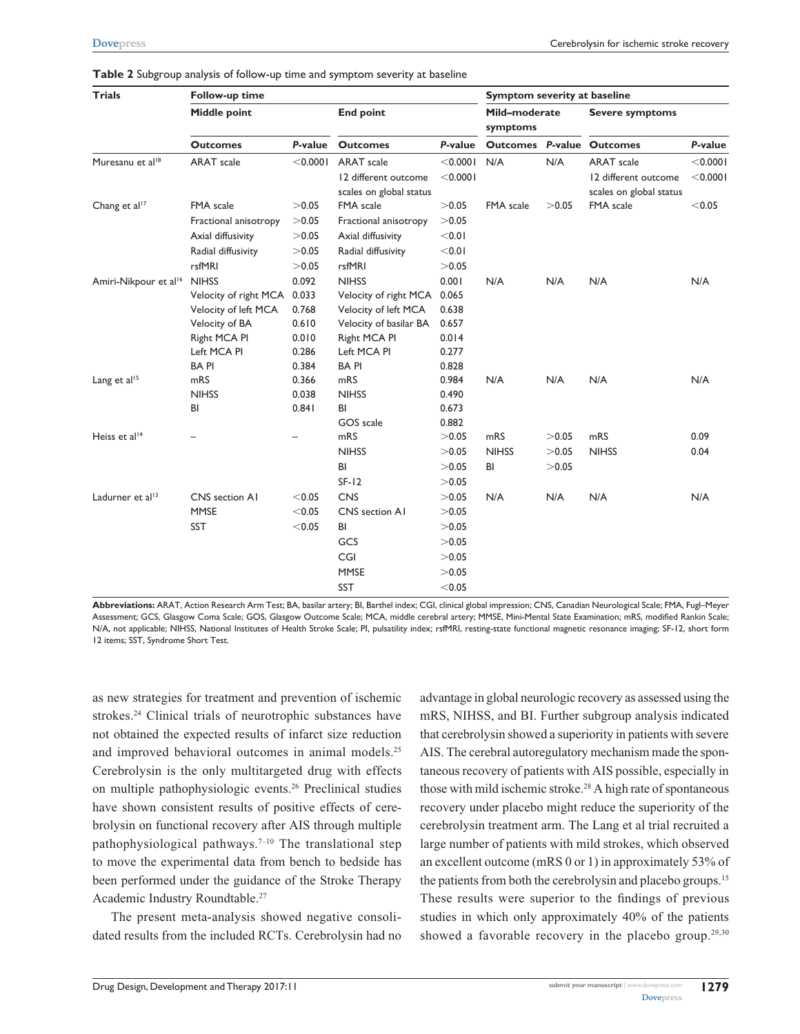| <b>Trials</b>                     | Follow-up time                                            |          |                                                 | Symptom severity at baseline |              |       |                                                 |          |  |
|-----------------------------------|-----------------------------------------------------------|----------|-------------------------------------------------|------------------------------|--------------|-------|-------------------------------------------------|----------|--|
|                                   | Middle point                                              |          | <b>End point</b>                                |                              |              |       | <b>Severe symptoms</b>                          |          |  |
|                                   | <b>Outcomes</b>                                           | P-value  | <b>Outcomes</b>                                 | P-value                      |              |       | <b>Outcomes P-value Outcomes</b>                | P-value  |  |
| Muresanu et al <sup>18</sup>      | <b>ARAT</b> scale                                         | < 0.0001 | <b>ARAT</b> scale                               | $<$ 0.000                    | N/A          | N/A   | <b>ARAT</b> scale                               | < 0.0001 |  |
|                                   |                                                           |          | 12 different outcome<br>scales on global status | $<$ 0.000 l                  |              |       | 12 different outcome<br>scales on global status | < 0.0001 |  |
| Chang et al <sup>17</sup>         | <b>FMA</b> scale                                          | >0.05    | FMA scale                                       | >0.05                        | FMA scale    | >0.05 | FMA scale                                       | < 0.05   |  |
|                                   | Fractional anisotropy                                     | >0.05    | Fractional anisotropy                           | >0.05                        |              |       |                                                 |          |  |
|                                   | >0.05<br>Axial diffusivity<br>>0.05<br>Radial diffusivity |          | Axial diffusivity                               | < 0.01                       |              |       |                                                 |          |  |
|                                   |                                                           |          | Radial diffusivity                              | < 0.01                       |              |       |                                                 |          |  |
|                                   | rsfMRI                                                    | >0.05    | rsfMRI                                          | >0.05                        |              |       |                                                 |          |  |
| Amiri-Nikpour et al <sup>16</sup> | <b>NIHSS</b>                                              | 0.092    | <b>NIHSS</b>                                    | 0.001                        | N/A          | N/A   | N/A                                             | N/A      |  |
|                                   | Velocity of right MCA                                     | 0.033    | Velocity of right MCA                           | 0.065                        |              |       |                                                 |          |  |
|                                   | 0.768<br>Velocity of left MCA                             |          | Velocity of left MCA                            | 0.638                        |              |       |                                                 |          |  |
|                                   | Velocity of BA                                            | 0.610    | Velocity of basilar BA                          | 0.657                        |              |       |                                                 |          |  |
|                                   | Right MCA PI                                              | 0.010    | Right MCA PI                                    | 0.014                        |              |       |                                                 |          |  |
|                                   | Left MCA PI                                               | 0.286    | Left MCA PI                                     | 0.277                        |              |       |                                                 |          |  |
|                                   | <b>BAPI</b>                                               | 0.384    | <b>BAPI</b>                                     | 0.828                        |              |       |                                                 |          |  |
| Lang et al <sup>15</sup>          | mRS                                                       | 0.366    | mRS                                             | 0.984                        | N/A          | N/A   | N/A                                             | N/A      |  |
|                                   | <b>NIHSS</b>                                              | 0.038    | <b>NIHSS</b>                                    | 0.490                        |              |       |                                                 |          |  |
|                                   | 0.841<br>BI                                               |          | BI                                              | 0.673                        |              |       |                                                 |          |  |
|                                   |                                                           |          | GOS scale                                       | 0.882                        |              |       |                                                 |          |  |
| Heiss et al <sup>14</sup>         |                                                           |          | mRS                                             | >0.05                        | mRS          | >0.05 | mRS                                             | 0.09     |  |
|                                   |                                                           |          | <b>NIHSS</b>                                    | >0.05                        | <b>NIHSS</b> | >0.05 | <b>NIHSS</b>                                    | 0.04     |  |
|                                   |                                                           |          | BI                                              | >0.05                        | BI           | >0.05 |                                                 |          |  |
|                                   |                                                           |          | $SF-I2$                                         | >0.05                        |              |       |                                                 |          |  |
| Ladurner et al <sup>13</sup>      | CNS section AI                                            | < 0.05   | <b>CNS</b>                                      | >0.05                        | N/A          | N/A   | N/A                                             | N/A      |  |
|                                   | <b>MMSE</b>                                               | < 0.05   | CNS section A1                                  | >0.05                        |              |       |                                                 |          |  |
|                                   | SST                                                       | < 0.05   | BI                                              | >0.05                        |              |       |                                                 |          |  |
|                                   |                                                           |          | GCS                                             | >0.05                        |              |       |                                                 |          |  |
|                                   |                                                           |          | CGI                                             | >0.05                        |              |       |                                                 |          |  |
|                                   |                                                           |          | <b>MMSE</b>                                     | >0.05                        |              |       |                                                 |          |  |
|                                   |                                                           |          | <b>SST</b>                                      | < 0.05                       |              |       |                                                 |          |  |

**Table 2** Subgroup analysis of follow-up time and symptom severity at baseline

**Abbreviations:** ARAT, Action Research Arm Test; BA, basilar artery; BI, Barthel index; CGI, clinical global impression; CNS, Canadian Neurological Scale; FMA, Fugl–Meyer Assessment; GCS, Glasgow Coma Scale; GOS, Glasgow Outcome Scale; MCA, middle cerebral artery; MMSE, Mini-Mental State Examination; mRS, modified Rankin Scale; N/A, not applicable; NIHSS, National Institutes of Health Stroke Scale; PI, pulsatility index; rsfMRI, resting-state functional magnetic resonance imaging; SF-12, short form 12 items; SST, Syndrome Short Test.

as new strategies for treatment and prevention of ischemic strokes.<sup>24</sup> Clinical trials of neurotrophic substances have not obtained the expected results of infarct size reduction and improved behavioral outcomes in animal models.<sup>25</sup> Cerebrolysin is the only multitargeted drug with effects on multiple pathophysiologic events.26 Preclinical studies have shown consistent results of positive effects of cerebrolysin on functional recovery after AIS through multiple pathophysiological pathways.<sup>7–10</sup> The translational step to move the experimental data from bench to bedside has been performed under the guidance of the Stroke Therapy Academic Industry Roundtable.27

The present meta-analysis showed negative consolidated results from the included RCTs. Cerebrolysin had no advantage in global neurologic recovery as assessed using the mRS, NIHSS, and BI. Further subgroup analysis indicated that cerebrolysin showed a superiority in patients with severe AIS. The cerebral autoregulatory mechanism made the spontaneous recovery of patients with AIS possible, especially in those with mild ischemic stroke.28 A high rate of spontaneous recovery under placebo might reduce the superiority of the cerebrolysin treatment arm. The Lang et al trial recruited a large number of patients with mild strokes, which observed an excellent outcome (mRS 0 or 1) in approximately 53% of the patients from both the cerebrolysin and placebo groups.<sup>15</sup> These results were superior to the findings of previous studies in which only approximately 40% of the patients showed a favorable recovery in the placebo group.<sup>29,30</sup>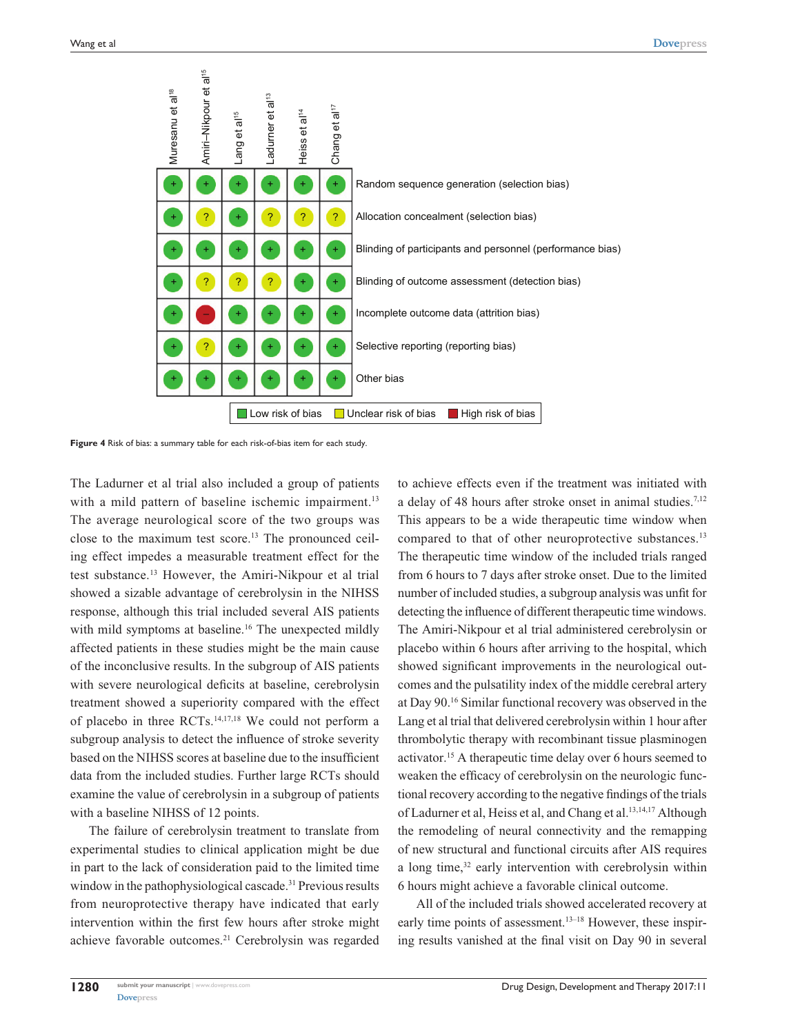

**Figure 4** Risk of bias: a summary table for each risk-of-bias item for each study.

The Ladurner et al trial also included a group of patients with a mild pattern of baseline ischemic impairment.<sup>13</sup> The average neurological score of the two groups was close to the maximum test score.13 The pronounced ceiling effect impedes a measurable treatment effect for the test substance.13 However, the Amiri-Nikpour et al trial showed a sizable advantage of cerebrolysin in the NIHSS response, although this trial included several AIS patients with mild symptoms at baseline.<sup>16</sup> The unexpected mildly affected patients in these studies might be the main cause of the inconclusive results. In the subgroup of AIS patients with severe neurological deficits at baseline, cerebrolysin treatment showed a superiority compared with the effect of placebo in three RCTs.14,17,18 We could not perform a subgroup analysis to detect the influence of stroke severity based on the NIHSS scores at baseline due to the insufficient data from the included studies. Further large RCTs should examine the value of cerebrolysin in a subgroup of patients with a baseline NIHSS of 12 points.

The failure of cerebrolysin treatment to translate from experimental studies to clinical application might be due in part to the lack of consideration paid to the limited time window in the pathophysiological cascade.<sup>31</sup> Previous results from neuroprotective therapy have indicated that early intervention within the first few hours after stroke might achieve favorable outcomes.21 Cerebrolysin was regarded to achieve effects even if the treatment was initiated with a delay of 48 hours after stroke onset in animal studies.7,12 This appears to be a wide therapeutic time window when compared to that of other neuroprotective substances.<sup>13</sup> The therapeutic time window of the included trials ranged from 6 hours to 7 days after stroke onset. Due to the limited number of included studies, a subgroup analysis was unfit for detecting the influence of different therapeutic time windows. The Amiri-Nikpour et al trial administered cerebrolysin or placebo within 6 hours after arriving to the hospital, which showed significant improvements in the neurological outcomes and the pulsatility index of the middle cerebral artery at Day 90.16 Similar functional recovery was observed in the Lang et al trial that delivered cerebrolysin within 1 hour after thrombolytic therapy with recombinant tissue plasminogen activator.15 A therapeutic time delay over 6 hours seemed to weaken the efficacy of cerebrolysin on the neurologic functional recovery according to the negative findings of the trials of Ladurner et al, Heiss et al, and Chang et al.<sup>13,14,17</sup> Although the remodeling of neural connectivity and the remapping of new structural and functional circuits after AIS requires a long time,<sup>32</sup> early intervention with cerebrolysin within 6 hours might achieve a favorable clinical outcome.

All of the included trials showed accelerated recovery at early time points of assessment.<sup>13–18</sup> However, these inspiring results vanished at the final visit on Day 90 in several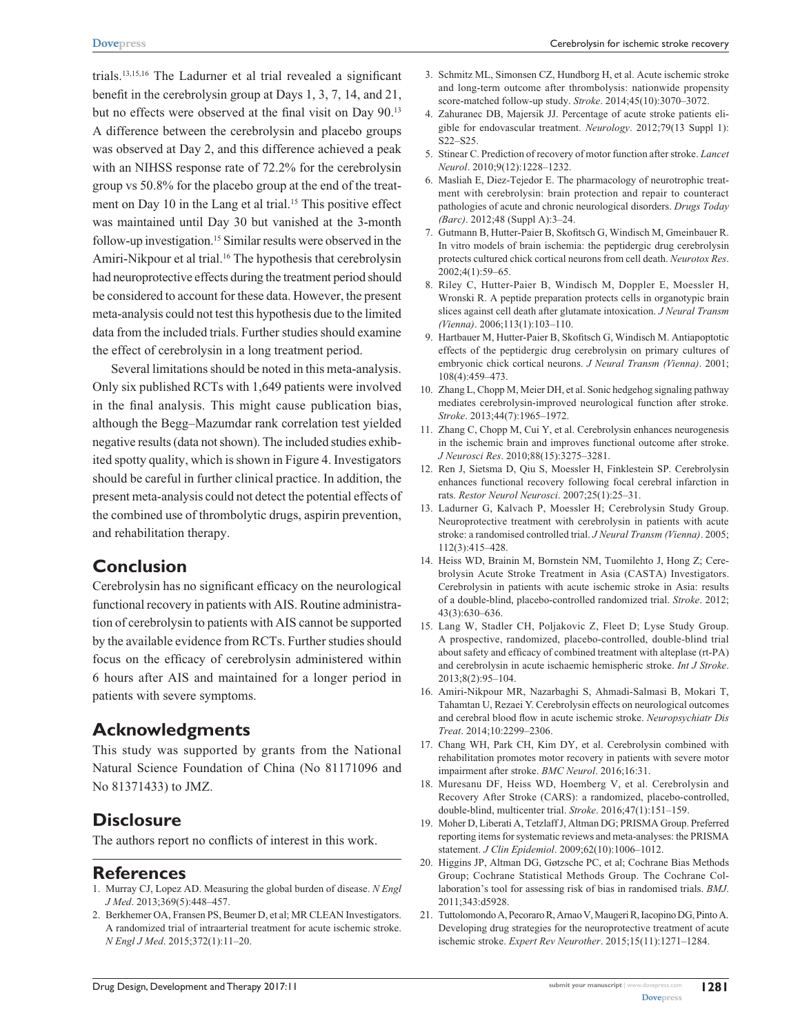trials.13,15,16 The Ladurner et al trial revealed a significant benefit in the cerebrolysin group at Days 1, 3, 7, 14, and 21, but no effects were observed at the final visit on Day 90.<sup>13</sup> A difference between the cerebrolysin and placebo groups was observed at Day 2, and this difference achieved a peak with an NIHSS response rate of 72.2% for the cerebrolysin group vs 50.8% for the placebo group at the end of the treatment on Day 10 in the Lang et al trial.<sup>15</sup> This positive effect was maintained until Day 30 but vanished at the 3-month follow-up investigation.15 Similar results were observed in the Amiri-Nikpour et al trial.<sup>16</sup> The hypothesis that cerebrolysin had neuroprotective effects during the treatment period should be considered to account for these data. However, the present meta-analysis could not test this hypothesis due to the limited data from the included trials. Further studies should examine the effect of cerebrolysin in a long treatment period.

Several limitations should be noted in this meta-analysis. Only six published RCTs with 1,649 patients were involved in the final analysis. This might cause publication bias, although the Begg–Mazumdar rank correlation test yielded negative results (data not shown). The included studies exhibited spotty quality, which is shown in Figure 4. Investigators should be careful in further clinical practice. In addition, the present meta-analysis could not detect the potential effects of the combined use of thrombolytic drugs, aspirin prevention, and rehabilitation therapy.

# **Conclusion**

Cerebrolysin has no significant efficacy on the neurological functional recovery in patients with AIS. Routine administration of cerebrolysin to patients with AIS cannot be supported by the available evidence from RCTs. Further studies should focus on the efficacy of cerebrolysin administered within 6 hours after AIS and maintained for a longer period in patients with severe symptoms.

# **Acknowledgments**

This study was supported by grants from the National Natural Science Foundation of China (No 81171096 and No 81371433) to JMZ.

# **Disclosure**

The authors report no conflicts of interest in this work.

### **References**

- 1. Murray CJ, Lopez AD. Measuring the global burden of disease. *N Engl J Med*. 2013;369(5):448–457.
- 2. Berkhemer OA, Fransen PS, Beumer D, et al; MR CLEAN Investigators. A randomized trial of intraarterial treatment for acute ischemic stroke. *N Engl J Med*. 2015;372(1):11–20.
- 3. Schmitz ML, Simonsen CZ, Hundborg H, et al. Acute ischemic stroke and long-term outcome after thrombolysis: nationwide propensity score-matched follow-up study. *Stroke*. 2014;45(10):3070–3072.
- 4. Zahuranec DB, Majersik JJ. Percentage of acute stroke patients eligible for endovascular treatment. *Neurology*. 2012;79(13 Suppl 1): S22–S25.
- 5. Stinear C. Prediction of recovery of motor function after stroke. *Lancet Neurol*. 2010;9(12):1228–1232.
- 6. Masliah E, Diez-Tejedor E. The pharmacology of neurotrophic treatment with cerebrolysin: brain protection and repair to counteract pathologies of acute and chronic neurological disorders. *Drugs Today (Barc)*. 2012;48 (Suppl A):3–24.
- 7. Gutmann B, Hutter-Paier B, Skofitsch G, Windisch M, Gmeinbauer R. In vitro models of brain ischemia: the peptidergic drug cerebrolysin protects cultured chick cortical neurons from cell death. *Neurotox Res*. 2002;4(1):59–65.
- 8. Riley C, Hutter-Paier B, Windisch M, Doppler E, Moessler H, Wronski R. A peptide preparation protects cells in organotypic brain slices against cell death after glutamate intoxication. *J Neural Transm (Vienna)*. 2006;113(1):103–110.
- 9. Hartbauer M, Hutter-Paier B, Skofitsch G, Windisch M. Antiapoptotic effects of the peptidergic drug cerebrolysin on primary cultures of embryonic chick cortical neurons. *J Neural Transm (Vienna)*. 2001; 108(4):459–473.
- 10. Zhang L, Chopp M, Meier DH, et al. Sonic hedgehog signaling pathway mediates cerebrolysin-improved neurological function after stroke. *Stroke*. 2013;44(7):1965–1972.
- 11. Zhang C, Chopp M, Cui Y, et al. Cerebrolysin enhances neurogenesis in the ischemic brain and improves functional outcome after stroke. *J Neurosci Res*. 2010;88(15):3275–3281.
- 12. Ren J, Sietsma D, Qiu S, Moessler H, Finklestein SP. Cerebrolysin enhances functional recovery following focal cerebral infarction in rats. *Restor Neurol Neurosci*. 2007;25(1):25–31.
- 13. Ladurner G, Kalvach P, Moessler H; Cerebrolysin Study Group. Neuroprotective treatment with cerebrolysin in patients with acute stroke: a randomised controlled trial. *J Neural Transm (Vienna)*. 2005; 112(3):415–428.
- 14. Heiss WD, Brainin M, Bornstein NM, Tuomilehto J, Hong Z; Cerebrolysin Acute Stroke Treatment in Asia (CASTA) Investigators. Cerebrolysin in patients with acute ischemic stroke in Asia: results of a double-blind, placebo-controlled randomized trial. *Stroke*. 2012; 43(3):630–636.
- 15. Lang W, Stadler CH, Poljakovic Z, Fleet D; Lyse Study Group. A prospective, randomized, placebo-controlled, double-blind trial about safety and efficacy of combined treatment with alteplase (rt-PA) and cerebrolysin in acute ischaemic hemispheric stroke. *Int J Stroke*. 2013;8(2):95–104.
- 16. Amiri-Nikpour MR, Nazarbaghi S, Ahmadi-Salmasi B, Mokari T, Tahamtan U, Rezaei Y. Cerebrolysin effects on neurological outcomes and cerebral blood flow in acute ischemic stroke. *Neuropsychiatr Dis Treat*. 2014;10:2299–2306.
- 17. Chang WH, Park CH, Kim DY, et al. Cerebrolysin combined with rehabilitation promotes motor recovery in patients with severe motor impairment after stroke. *BMC Neurol*. 2016;16:31.
- 18. Muresanu DF, Heiss WD, Hoemberg V, et al. Cerebrolysin and Recovery After Stroke (CARS): a randomized, placebo-controlled, double-blind, multicenter trial. *Stroke*. 2016;47(1):151–159.
- 19. Moher D, Liberati A, Tetzlaff J, Altman DG; PRISMA Group. Preferred reporting items for systematic reviews and meta-analyses: the PRISMA statement. *J Clin Epidemiol*. 2009;62(10):1006–1012.
- 20. Higgins JP, Altman DG, Gøtzsche PC, et al; Cochrane Bias Methods Group; Cochrane Statistical Methods Group. The Cochrane Collaboration's tool for assessing risk of bias in randomised trials. *BMJ*. 2011;343:d5928.
- 21. Tuttolomondo A, Pecoraro R, Arnao V, Maugeri R, Iacopino DG, Pinto A. Developing drug strategies for the neuroprotective treatment of acute ischemic stroke. *Expert Rev Neurother*. 2015;15(11):1271–1284.